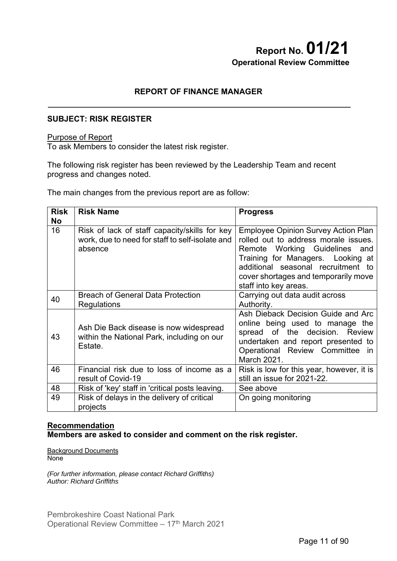# **Report No. 01/21 Operational Review Committee**

# **REPORT OF FINANCE MANAGER**

# **SUBJECT: RISK REGISTER**

### Purpose of Report

To ask Members to consider the latest risk register.

The following risk register has been reviewed by the Leadership Team and recent progress and changes noted.

The main changes from the previous report are as follow:

| <b>Risk</b><br><b>No</b> | <b>Risk Name</b>                                                                                            | <b>Progress</b>                                                                                                                                                                                                                                                 |
|--------------------------|-------------------------------------------------------------------------------------------------------------|-----------------------------------------------------------------------------------------------------------------------------------------------------------------------------------------------------------------------------------------------------------------|
| 16                       | Risk of lack of staff capacity/skills for key<br>work, due to need for staff to self-isolate and<br>absence | <b>Employee Opinion Survey Action Plan</b><br>rolled out to address morale issues.<br>Remote Working Guidelines and<br>Training for Managers. Looking at<br>additional seasonal recruitment to<br>cover shortages and temporarily move<br>staff into key areas. |
| 40                       | <b>Breach of General Data Protection</b><br>Regulations                                                     | Carrying out data audit across<br>Authority.                                                                                                                                                                                                                    |
| 43                       | Ash Die Back disease is now widespread<br>within the National Park, including on our<br>Estate.             | Ash Dieback Decision Guide and Arc<br>online being used to manage the<br>spread of the decision. Review<br>undertaken and report presented to<br>Operational Review Committee in<br>March 2021.                                                                 |
| 46                       | Financial risk due to loss of income as a<br>result of Covid-19                                             | Risk is low for this year, however, it is<br>still an issue for 2021-22.                                                                                                                                                                                        |
| 48                       | Risk of 'key' staff in 'critical posts leaving.                                                             | See above                                                                                                                                                                                                                                                       |
| 49                       | Risk of delays in the delivery of critical<br>projects                                                      | On going monitoring                                                                                                                                                                                                                                             |

# **Recommendation Members are asked to consider and comment on the risk register.**

Background Documents None

*(For further information, please contact Richard Griffiths) Author: Richard Griffiths*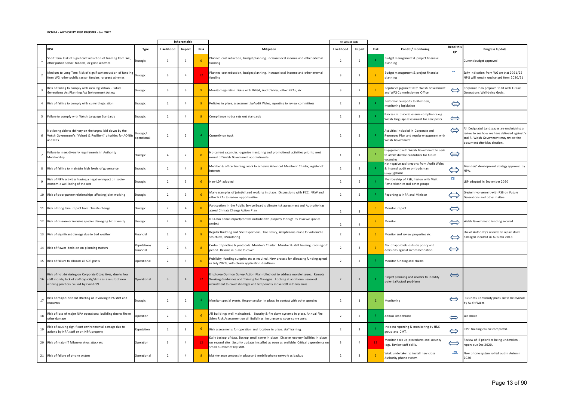#### **PCNPA ‐ AUTHORITY RISK REGISTER ‐ Jan 2021**

|                |                                                                                                                                                                          |                           | Inherent risk  |                |                |                                                                                                                                                                                                                                             | Residual risk  |                         |                |                                                                                                        |                                    |                                                                                                                                                                        |
|----------------|--------------------------------------------------------------------------------------------------------------------------------------------------------------------------|---------------------------|----------------|----------------|----------------|---------------------------------------------------------------------------------------------------------------------------------------------------------------------------------------------------------------------------------------------|----------------|-------------------------|----------------|--------------------------------------------------------------------------------------------------------|------------------------------------|------------------------------------------------------------------------------------------------------------------------------------------------------------------------|
|                | <b>RISK</b>                                                                                                                                                              | Type                      | Likelihood     | Impact         | Risk           | Mitigation                                                                                                                                                                                                                                  | Likelihood     | Impact                  | Risk           | Control/ monitoring                                                                                    | Trend this<br>qtr                  | Progress Update                                                                                                                                                        |
|                | Short Term Risk of significant reduction of funding from WG,<br>other public sector funders, or grant schemes                                                            | <b>Strategic</b>          | 3              | - 3            |                | Planned cost reduction, budget planning, increase local income and other external<br>funding                                                                                                                                                | 2              | $\overline{2}$          |                | Budget management & project financial<br>planning                                                      |                                    | Current budget approved                                                                                                                                                |
| $\overline{2}$ | Medium to Long Term Risk of significant reduction of funding<br>from WG, other public sector funders, or grant schemes                                                   | <b>Strategic</b>          | 3              | $\overline{4}$ | 12             | Planned cost reduction, budget planning, increase local income and other external<br>funding                                                                                                                                                | $\overline{3}$ | $\overline{3}$          | $\overline{q}$ | Budget management & project financial<br>planning                                                      | 1979                               | Early indication from WG are that 2021/22<br>NPG will remain unchanged from 2020/21                                                                                    |
| 3              | Risk of failing to comply with new legislation - Future<br>Generations Act Planning Act Environment Act etc                                                              | <b>Strategic</b>          | 3              | -3             |                | Monitor legislation Liaise with WLGA, Audit Wales, other NPAs, etc                                                                                                                                                                          | $\overline{3}$ | $\overline{2}$          |                | Regular engagement with Welsh Governmen<br>and WFG Commissioners Office                                | $\Leftrightarrow$                  | Corporate Plan prepared to fit with Future<br>Generations Well-being Goals.                                                                                            |
|                | 4 Risk of failing to comply with current legislation                                                                                                                     | Strategic                 | $\overline{2}$ | $\overline{4}$ | 8 <sup>°</sup> | Policies in place, assessment by Audit Wales, reporting to review committees                                                                                                                                                                | $\overline{2}$ | $\overline{2}$          | $\overline{a}$ | Performance reports to Members,<br>monitoring legislation                                              | $\Leftrightarrow$                  |                                                                                                                                                                        |
|                | 5 Failure to comply with Welsh Language Standards                                                                                                                        | Strategic                 | 2              | $\overline{4}$ | 8 <sup>°</sup> | Compliance notice sets out standards                                                                                                                                                                                                        | $\overline{2}$ | $\overline{2}$          | $\overline{a}$ | Process in place to ensure compliance e.g.<br>Welsh language assessment for new posts                  | $\Longleftrightarrow$              |                                                                                                                                                                        |
|                | Not being able to delivery on the targets laid down by the<br>6 Welsh Government's "Valued & Resilient" priorities for AONBs<br>and NPs.                                 | Strategic/<br>operational | $\overline{2}$ | $\overline{2}$ |                | Currently on track                                                                                                                                                                                                                          | $\overline{2}$ | $\overline{2}$          | - 4            | Activities included in Corporate and<br>Resources Plan and regular engagement with<br>Welsh Government | $\Leftrightarrow$                  | All Designated Landscapes are undertaking a<br>review to see how we have delivered against V<br>and R. Welsh Government may review the<br>document after May election. |
|                | Failure to meet diversity requirements in Authority<br>Membership                                                                                                        | Strategic                 | $\overline{4}$ | -2             |                | No current vacancies, organise mentoring and promotional activities prior to next<br>round of Welsh Government appointments                                                                                                                 | 1              | 1                       |                | Engagement with Welsh Government to seek<br>to attract diverse candidates for future<br>vacancies      | $\Leftrightarrow$                  |                                                                                                                                                                        |
|                | 8 Risk of failing to maintain high levels of governance                                                                                                                  | <b>Strategic</b>          | $\overline{2}$ | $\overline{a}$ |                | Member & officer training, work to acheieve Advanced Members' Charter, register of<br>nterests                                                                                                                                              | $\overline{2}$ | $\overline{2}$          | -4             | No negative audit reports from Audit Wales<br>& internal audit or ombudsman<br>investigations          | $\sum$                             | Members' development strategy approved by<br>NPA.                                                                                                                      |
| 9              | Risk of NPA activities having a negative impact on socio-<br>economic well-being of the area                                                                             | <b>Strategic</b>          | $\overline{2}$ |                |                | New LDP adopted                                                                                                                                                                                                                             | $\overline{2}$ | $\overline{2}$          |                | Membership of PSB, liasion with Visit<br>Pembrokeshire and other groups                                | <b>ITT</b>                         | LDP adopted in September 2020                                                                                                                                          |
|                | 10 Risk of poor partner relationships affecting joint working                                                                                                            | <b>Strategic</b>          | 2              | -3             |                | Many examples of joint/shared working in place. Discussions with PCC, NRW and<br>other NPAs to review opportunities                                                                                                                         | 2              | $\overline{2}$          | -4             | Reporting to NPA and Minister                                                                          | $\overleftrightarrow{\phantom{a}}$ | Greater involvement with PSB on Future<br>Generations and other matters.                                                                                               |
|                | 11 Risk of long term impact from climate change                                                                                                                          | Strategic                 | $\overline{2}$ | $\overline{a}$ |                | Particpation in the Public Service Board's climate risk assessment and Authority has<br>agreed Climate Change Action Plan                                                                                                                   | 2              | $\overline{\mathbf{3}}$ | -6             | Monitor impact                                                                                         | $\Leftrightarrow$                  |                                                                                                                                                                        |
|                | 12 Risk of disease or invasive species damaging biodiversity                                                                                                             | <b>Strategic</b>          | $\overline{2}$ |                |                | NPA has some impact/control outside own property thorugh its Invaisve Species<br>project                                                                                                                                                    | $\overline{2}$ | $\overline{a}$          |                | Monitor                                                                                                | $\Leftarrow$                       | Welsh Government Funding secured                                                                                                                                       |
|                | 13 Risk of significant damage due to bad weather                                                                                                                         | Financial                 | 2              | 4              |                | Regular Building and Site Inspections, Tree Policy, Adaptations made to vulnerable<br>structures, Monitoring                                                                                                                                | 2              | $\overline{\mathbf{3}}$ | -6             | Monitor and review properties etc.                                                                     | $\Leftrightarrow$                  | Use of Authority's reserves to repair storm<br>damaged incurred in Autumn 2018                                                                                         |
|                | 14 Risk of flawed decision on planning matters                                                                                                                           | Reputation/<br>Financial  | 2              | $\overline{a}$ |                | Codes of practice & protocols. Members Charter. Member & staff training, cooling-off<br>period. Reserve in place to cover.                                                                                                                  | $\overline{2}$ | $\overline{3}$          |                | No. of approvals outside policy and<br>decisions against recommendation                                | $\Longleftrightarrow$              |                                                                                                                                                                        |
|                | 15 Risk of failure to allocate all SDF grants                                                                                                                            | Operational               | $\overline{2}$ |                |                | Publicity, funding surgeries etc as required. New process for allocating funding agreed<br>in July 2020, with clearer application deadlines                                                                                                 |                | $\overline{2}$          |                | Monitor funding and claims                                                                             |                                    |                                                                                                                                                                        |
|                | Risk of not delviering on Corporate Objec tives, due to low<br>16 staff morale, lack of staff capacity/skills as a result of new<br>working practices caused by Covid-19 | Operational               | 3              | $\overline{4}$ | $12 -$         | Employee Opinion Survey Action Plan rolled out to address morale issues. Remote<br>Working Guidelines and Training for Managers. Looking at additional seasonal<br>recruitment to cover shortages and temporarily move staff into key areas | $\overline{2}$ | $\overline{2}$          |                | Project planning and reviews to identify<br>potential/actual problems                                  | $\Longleftrightarrow$              |                                                                                                                                                                        |
| 17             | Risk of major incident affecting or involving NPA staff and<br>resources                                                                                                 | <b>Strategic</b>          | $\overline{2}$ | $\overline{2}$ |                | Monitor special events. Response plan in place. In contact with other agencies                                                                                                                                                              | $\overline{2}$ | $\mathbf{1}$            | -2             | Monitoring                                                                                             | $\Longleftrightarrow$              | Business Continuity plans are to be reviewd<br>by Audit Wales.                                                                                                         |
| 18             | Risk of loss of major NPA operational building due to fire or<br>other damage                                                                                            | Operation                 | $\overline{2}$ | -3             |                | All buildings well maintained. Security & fire alarm systems in place. Annual Fire<br>Safety Risk Assessment on all Buildings. Insurance to cover some costs                                                                                | $\overline{2}$ | $\overline{2}$          | -4             | Annual inspections                                                                                     | $\Longleftrightarrow$              | see above                                                                                                                                                              |
| 19             | Risk of causing significant environmental damage due to<br>actions by NPA staff or on NPA property                                                                       | Reputation                | $\overline{2}$ | -3             | -6             | Risk assessments for operation and location in place, staff training.                                                                                                                                                                       | $\overline{2}$ | $\overline{2}$          | $\overline{a}$ | Incident reporting & monitoring by H&S<br>group and CMT.                                               | $\Leftrightarrow$                  | IOSH training course completed.                                                                                                                                        |
|                | 20 Risk of major IT failure or virus attack etc                                                                                                                          | Operation                 | 3              | $\overline{4}$ | $12 -$         | Daily backup of data. Backup email server in place. Disaster recovery facilities in place<br>on second site. Security updates installed as soon as available. Critical dependence on<br>mall number of key staff.                           | $\overline{3}$ | $\overline{4}$          | 12             | Monitor back up procedures and security<br>logs. Review staff skills.                                  | $\Longleftrightarrow$              | Review of IT priorities being undertaken -<br>report due Dec 2020.                                                                                                     |
|                | 21 Risk of failure of phone system                                                                                                                                       | Operational               | $\overline{2}$ | $\overline{4}$ | 8              | Maintenance contract in place and mobile phone network as backup                                                                                                                                                                            | $\overline{2}$ | -3                      |                | Work undertaken to install new cross<br>Authority phone system                                         | لارت                               | New phone system rolled out in Autumn<br>2020                                                                                                                          |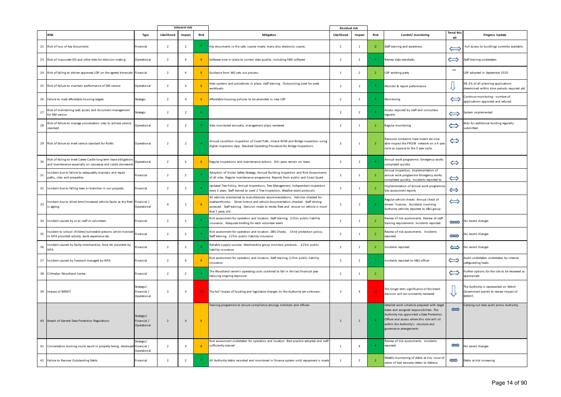|    |                                                                                                                                | Inherent risk                            |                |                |                | Residual risk                                                                                                                                                                                                                                                                 |                          |                |                 |                                                                                                                                                                                                                                                       |                       |                                                                                           |
|----|--------------------------------------------------------------------------------------------------------------------------------|------------------------------------------|----------------|----------------|----------------|-------------------------------------------------------------------------------------------------------------------------------------------------------------------------------------------------------------------------------------------------------------------------------|--------------------------|----------------|-----------------|-------------------------------------------------------------------------------------------------------------------------------------------------------------------------------------------------------------------------------------------------------|-----------------------|-------------------------------------------------------------------------------------------|
|    | <b>RISK</b>                                                                                                                    | Type                                     | Likelihood     | Impact         | Risk           | Mitigation                                                                                                                                                                                                                                                                    | Likelihood               | Impact         | Risk            | Control/ monitoring                                                                                                                                                                                                                                   | Trend this<br>qtr     | Progress Update                                                                           |
|    | 22 Risk of loss of key documents                                                                                               | Financial                                | $\overline{2}$ | $\overline{2}$ |                | Key documents in fire safe, copies made, many also electronic copies.                                                                                                                                                                                                         | $\overline{2}$           | 1              | $\overline{2}$  | Staff training and awareness.                                                                                                                                                                                                                         |                       | Full access to buidlings currently available.                                             |
|    | 23 Risk of inaccurate GIS and other data for decision making                                                                   | Operational                              | $\overline{2}$ | 4              | 8 <sup>°</sup> | Software now in place to control data quality, including FME software                                                                                                                                                                                                         | $\overline{2}$           | $\overline{2}$ |                 | Review data standards                                                                                                                                                                                                                                 | $\Longleftrightarrow$ | Staff training undertaken                                                                 |
|    | 24 Risk of failing to deliver approved LDP on the agreed timescale Financial                                                   |                                          | $\overline{2}$ | 4              | 8 <sup>1</sup> | Guidance from WG sets out process.                                                                                                                                                                                                                                            | $\overline{1}$           | $\overline{2}$ | -2              | LDP working party                                                                                                                                                                                                                                     | $\sim$                | LDP adopted in September 2020                                                             |
|    | 25 Risk of failure to maintain performance of DM service                                                                       | Operational                              | $\overline{2}$ | $\overline{a}$ |                | New systems and procedures in place, staff training. Outsourcing used for peak<br>workloads                                                                                                                                                                                   | $\overline{2}$           | $\overline{2}$ | -4              | Monitor & report performance                                                                                                                                                                                                                          |                       | 98.3% of all planning applications<br>determined within time periods required ytd.        |
|    | 26 Failure to meet affordable housing targets                                                                                  | <b>Strategic</b>                         | 2              |                | 8 <sup>°</sup> | Affordable housing policies to be amended in new LDP                                                                                                                                                                                                                          | $\overline{2}$           | $\overline{2}$ | -4              | Monitoring                                                                                                                                                                                                                                            | $\Longleftrightarrow$ | Continue monitoring - number of<br>applications approved and refused.                     |
| 27 | Risk of maintaining web access and document management<br>for DM service                                                       | <b>Strategic</b>                         | $\overline{2}$ | $\overline{2}$ |                |                                                                                                                                                                                                                                                                               | 2                        | $\overline{2}$ |                 | Access required by staff and consultess<br>regualry                                                                                                                                                                                                   | $\Longleftrightarrow$ | System implemented                                                                        |
| 28 | Risk of failure to manage conservation sites to achieve service<br>standard                                                    | Operational                              | $\overline{2}$ | $\overline{2}$ |                | Sites monitored annually, management plans reviewed                                                                                                                                                                                                                           | $\overline{2}$           | $\mathbf{1}$   |                 | Regular monitoring                                                                                                                                                                                                                                    | $\Longleftrightarrow$ | Bids for additional funding regularly<br>ubmitted.                                        |
|    | 29 Risk of failure to meet service standard for RoWs                                                                           | Operational                              | $\overline{2}$ | $\overline{2}$ |                | Annual condition inspection of Coast Path, Inland ROW and Bridge inspection using<br>digital inspection App. Standard Operating Procedure for Bridge Inspections                                                                                                              |                          | 1              | $\overline{2}$  | Resource contraints have meant we now<br>able inspect the PROW network on a 4 year<br>cycle as oppose to the 3 year cycle.                                                                                                                            | $\Leftrightarrow$     |                                                                                           |
| 30 | Risk of failing to meet Carew Castle long term lease obligation<br>and maintenance especially on causeway and castle stonework | Operational                              | $\overline{2}$ | $\overline{a}$ | 8              | Regular inspections and maintenance actions. 60+ years remain on lease.                                                                                                                                                                                                       | $\overline{2}$           | $\overline{2}$ | $\overline{4}$  | Annual work programme. Emergency works<br>completed quickly                                                                                                                                                                                           | $\Leftrightarrow$     |                                                                                           |
| 31 | ncident due to failure to adequately maintain and repair<br>paths, sites and properties                                        | Financial                                | $\overline{2}$ | 2              |                | Adoption of Visitor Safety Strategy, Annual Building Inspection and Risk Assessments<br>of all sites. Regular maintenance programme. Reports from public and Coast Guard                                                                                                      | $\overline{2}$           | 1              |                 | Annual Inspection, Implementation of<br>annual work programme Emergency works<br>completed quickly, Incidents reported to                                                                                                                             | $\Leftrightarrow$     |                                                                                           |
|    | 32 Incident due to falling trees or branches in our property                                                                   | Financial                                | $\overline{2}$ | 2              |                | Updated Tree Policy, Annual Inspections, Tree Management, Independent Inspection<br>every 3 years, Staff trained to Level 2 Tree Inspection, Weather event protocols                                                                                                          | $\overline{2}$           | 1              |                 | Implementation of annual work programme<br>Site assessment reports                                                                                                                                                                                    | $\Leftrightarrow$     |                                                                                           |
| 33 | Incident due to driver error/increased vehicle faults as the fleet Financial /<br>is ageing.                                   | Operational                              | $\overline{4}$ | $\overline{2}$ |                | All vehicles maintained to manufacturers recommendations. Vehicles checked for<br>roadworthiness. Driver licence and vehicle documentation checked. Staff driving<br>assessed. Staff training. Decision made to renew fleet and ensure no vehicle is more<br>that 7 yeras old | $\overline{\phantom{a}}$ | $\overline{2}$ | -4              | Regular vehicle checks. Annual check of<br>drivers' licences. Accidents involving<br>Authority vehicles reported to H&S group.                                                                                                                        | $\Longleftrightarrow$ |                                                                                           |
|    | 34 Incident caused by or to staff or volunteers                                                                                | Financial                                | $\overline{2}$ | $\overline{2}$ |                | Risk assessment for operation and location. Staff training. £25m public liability<br>insurance. Adequate briefing for each volunteer event                                                                                                                                    | 2                        | 1              | -2              | Review of risk assessments. Review of staff<br>training requirements. Incidents reported.                                                                                                                                                             | $\Longleftrightarrow$ | No recent changes                                                                         |
| 35 | Incident to school children/vulnerable persons while involved Financial<br>in NPA provided activity, work experience etc.      |                                          | $\overline{2}$ | $\overline{2}$ |                | Risk assessment for operation and location. DBS Checks. Child protection policy.<br>Staff training. £25m public liability insurance                                                                                                                                           | $\overline{2}$           | $\overline{1}$ | $\overline{2}$  | Review of risk assessments. Incidents<br>reported.                                                                                                                                                                                                    |                       | $\sum$ No recent changes                                                                  |
| 36 | ncident caused by faulty merchandise, food etc provided by<br><b>NPA</b>                                                       | Financial                                | $\overline{2}$ | $\overline{2}$ |                | Reliable supply sources. Merchandise group monitors products. £25m public<br>liability insurance                                                                                                                                                                              | $\overline{2}$           | 1              |                 | Incidents reported                                                                                                                                                                                                                                    |                       | No recent changes                                                                         |
|    | 37 Incident caused by livestock managed by NPA                                                                                 | Financial                                | $\overline{2}$ | $\overline{a}$ |                | Risk assessment for operation and location, Staff training, £25m public liability<br>insurance                                                                                                                                                                                | 2                        | $\overline{2}$ | -4              | Incidents reported to H&S officer                                                                                                                                                                                                                     | $\Longleftrightarrow$ | Audit undertaken undertaken by internal<br>safeguarding leads                             |
|    | 38 Cilrhedyn Woodland Centre                                                                                                   | Financial                                | $\overline{2}$ | $\overline{2}$ |                | he Woodland centre's operating costs contined to fall in the last financial year<br>reducing ongoing exposure                                                                                                                                                                 | $\overline{2}$           | 1              |                 |                                                                                                                                                                                                                                                       |                       | Further options for the site to be reviewed as<br>appropriate                             |
|    | 39 Impact of BREXIT                                                                                                            | Strategic/<br>Financial /<br>Operational | $\overline{3}$ | $\overline{4}$ | $12 -$         | The full impact of funding and legislative changes on the Authority are unknown.                                                                                                                                                                                              | -3                       | $\overline{4}$ | 12 <sub>1</sub> | The longer term significance of the brexit<br>decision will be constantly reviewed                                                                                                                                                                    | ₩                     | The Authority is represented on Welsh<br>Government panels to review impact of<br>BREXIT. |
|    | 40 Breach of General Data Protection Regulations                                                                               | Strategic/<br>Financial /<br>Operational | $\overline{2}$ | $\overline{4}$ | 8              | Training programme to ensure compliance amongs members and officers                                                                                                                                                                                                           |                          | $\overline{2}$ | $\overline{a}$  | Detailed work schedule prepared with target<br>dates and assigned responsibilites. The<br>Authority has appointed a Data Protection<br>Officer and assess where this role will sit<br>within the Authority's structure and<br>governance arrangements | $\Rightarrow$         | Carrying out data audit across Authority.                                                 |
|    | 41 Conservation burning could result in property being destroyed Financial /                                                   | Strategic/<br>Operational                | $\overline{2}$ | $\overline{4}$ | $\mathbf{R}$   | Risk assessment undertaken for operation and location. Best practice adopted and staff<br>sufficiently trained                                                                                                                                                                | 1                        | 4              | $\overline{4}$  | Review of risk assessments. Incidents<br>reported.                                                                                                                                                                                                    |                       | No recent changes                                                                         |
|    | 42 Failure to Recover Outstanding Debts                                                                                        | Financial                                | $\overline{2}$ | $\overline{2}$ |                | All Authority debts recorded and monitored in finance system until repayment is made                                                                                                                                                                                          |                          | $\overline{2}$ |                 | Weekly monitoring of debts at risk, issue of<br>series of bad recovery letters to debtors                                                                                                                                                             | $\Rightarrow$         | Debts at risk increasing                                                                  |

Page 14 of 90